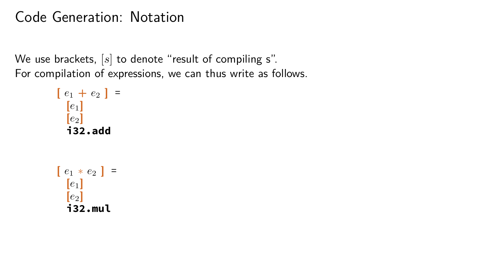#### Code Generation: Notation

We use brackets, [s] to denote "result of compiling s". For compilation of expressions, we can thus write as follows.

$$
[e_1 + e_2] =
$$
\n
$$
[e_1]
$$
\n
$$
[e_2]
$$
\n
$$
i32.add
$$
\n
$$
[e_1 * e_2] =
$$
\n
$$
[e_1]
$$
\n
$$
[e_2]
$$
\n
$$
i32.mul
$$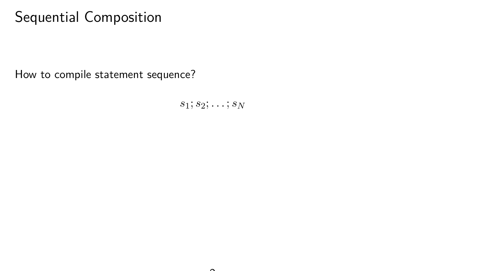# Sequential Composition

How to compile statement sequence?

*s*1; *s*2; *. . .* ; *s<sup>N</sup>*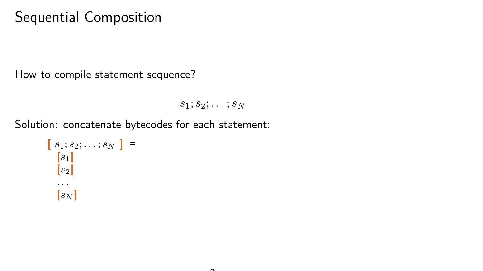# Sequential Composition

How to compile statement sequence?

*s*1; *s*2; *. . .* ; *s<sup>N</sup>*

Solution: concatenate bytecodes for each statement:

$$
\begin{bmatrix} s_1; s_2; \dots; s_N \end{bmatrix} = \begin{bmatrix} s_1 \\ s_2 \end{bmatrix}
$$

$$
\begin{bmatrix} \dots \\ \dots \\ \dots \\ \dots \end{bmatrix}
$$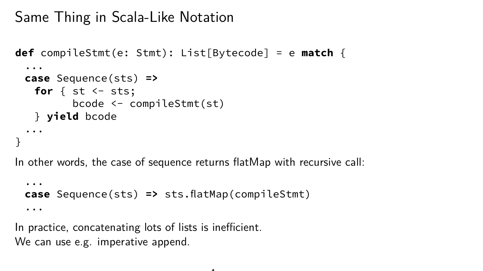### Same Thing in Scala-Like Notation

```
def compileStmt(e: Stmt): List[Bytecode] = e match {
 ...
 case Sequence(sts) =>
   for \{ st \leftarrow sts;bcode <- compileStmt(st)
   } yield bcode
 ...
}
```
In other words, the case of sequence returns flatMap with recursive call:

```
...
case Sequence(sts) => sts.flatMap(compileStmt)
...
```
In practice, concatenating lots of lists is inefficient. We can use e.g. imperative append.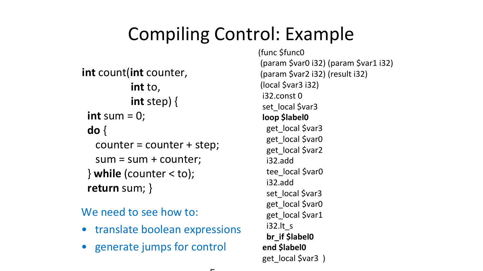# Compiling Control: Example

```
int count(int counter,
          int to,
          int step) {  
 int sum = 0:
 do {
  counter = counter + step;
  sum = sum + counter;\} while (counter < to);
 return sum; }
```
#### We need to see how to:

- translate boolean expressions
- generate jumps for control

(func \$func0 (param \$var0 i32) (param \$var1 i32) (param \$var2 i32) (result i32) (local \$var3 i32) i32.const 0 set\_local \$var3 loop \$label0 get\_local \$var3 get\_local \$var0 get\_local \$var2 i32.add tee\_local \$var0 i32.add set\_local \$var3 get\_local \$var0 get\_local \$var1 i32.lt\_s br\_if \$label0 end \$label0 get local \$var3 )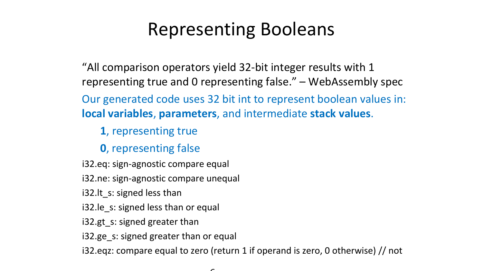# Representing Booleans

"All comparison operators yield 32-bit integer results with 1 representing true and 0 representing false." – WebAssembly spec Our generated code uses 32 bit int to represent boolean values in: local variables, parameters, and intermediate stack values.

1, representing true

0, representing false

i32.eq: sign-agnostic compare equal

i32.ne: sign-agnostic compare unequal

i32.lt s: signed less than

i32.le s: signed less than or equal

i32.gt s: signed greater than

i32.ge s: signed greater than or equal

i32.eqz: compare equal to zero (return 1 if operand is zero, 0 otherwise) // not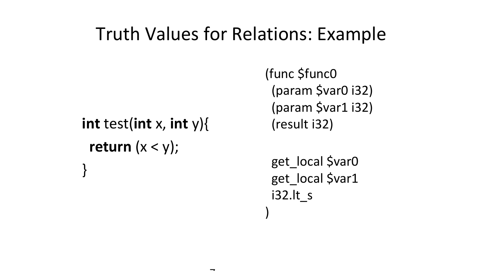# Truth Values for Relations: Example

 $\overline{\phantom{0}}$ 

```
int test(int x, int y){
 return (x < y);
}
```
(func \$func0 (param \$var0 i32) (param \$var1 i32) (result i32)

get\_local \$var0 get\_local \$var1 i32.lt\_s )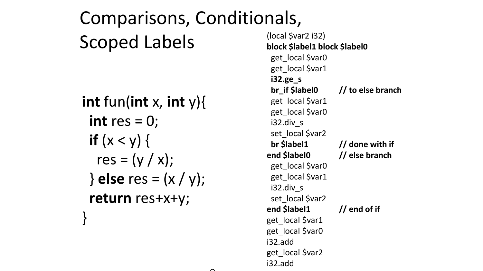Comparisons, Conditionals, Scoped Labels int fun(int x, int y){ int res  $= 0$ : if  $(x < v)$  { res =  $(v / x)$ ;  $\}$  else res =  $(x / y)$ ; return res+x+y; }

(local \$var2 i32) block \$label1 block \$label0 get\_local \$var0 get\_local \$var1 i32.ge\_s br if \$label0 // to else branch get\_local \$var1 get\_local \$var0 i32.div\_s set\_local \$var2 br \$label1 // done with if end \$label0 // else branch get\_local \$var0 get\_local \$var1 i32.div\_s set\_local \$var2 end \$label1 // end of if get\_local \$var1 get\_local \$var0 i32.add get\_local \$var2 i32.add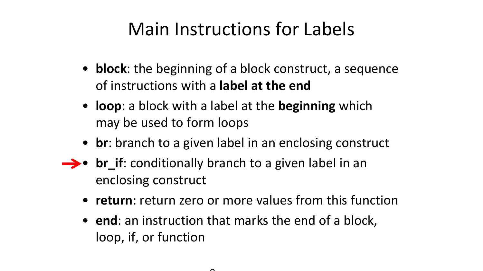# Main Instructions for Labels

- **block**: the beginning of a block construct, a sequence of instructions with a label at the end
- loop: a block with a label at the beginning which may be used to form loops
- br: branch to a given label in an enclosing construct
- $\rightarrow \bullet$  br if: conditionally branch to a given label in an enclosing construct
	- return: return zero or more values from this function
	- end: an instruction that marks the end of a block, loop, if, or function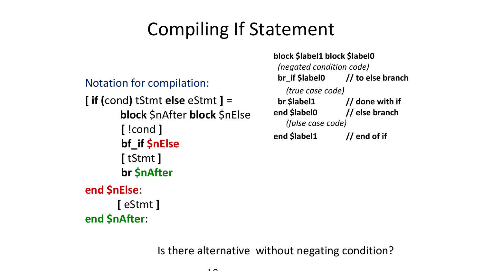# Compiling If Statement

Notation for compilation:

[ eStmt ]

end \$nAfter:

 $\int$  if (cond) tStmt else eStmt  $\int$  = block \$nAfter block \$nElse [ !cond ] bf\_if \$nElse [ tStmt ] br \$nAfter end \$nElse:

block \$label1 block \$label0 (negated condition code) br if \$label0 // to else branch (true case code) br \$label1 // done with if end \$label0 // else branch (false case code) end \$label1 // end of if

Is there alternative without negating condition?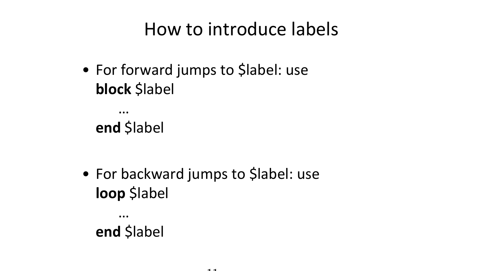# How to introduce labels

• For forward jumps to \$label: use block \$label

… end \$label

• For backward jumps to \$label: use loop \$label

… end \$label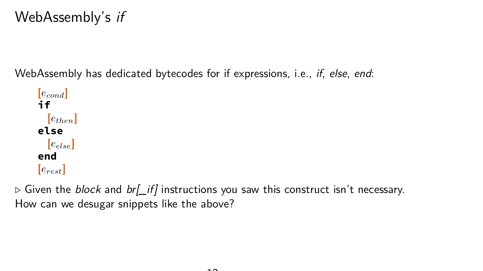### WebAssembly's if

WebAssembly has dedicated bytecodes for if expressions, i.e., *if, else, end:* 

**[***econd***] if [***ethen***] else [***eelse***] end [***erest***]**

 $\triangleright$  Given the *block* and *br[\_if]* instructions you saw this construct isn't necessary. How can we desugar snippets like the above?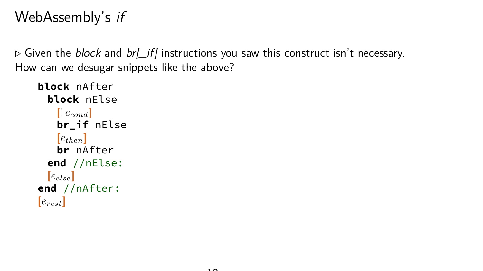### WebAssembly's if

 $\triangleright$  Given the *block* and *br[\_if]* instructions you saw this construct isn't necessary. How can we desugar snippets like the above?

```
block nAfter
 block nElse
   [! econd]
   br_if nElse
   [e_{then}]br nAfter
 end //nElse:
 [eelse]
end //nAfter:
[erest]
```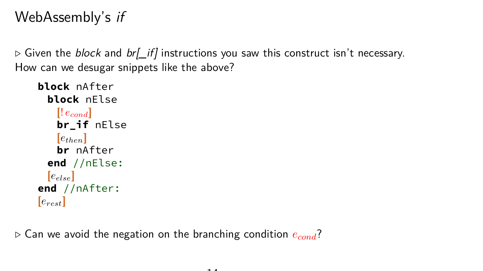### WebAssembly's if

 $\triangleright$  Given the *block* and *br[\_if]* instructions you saw this construct isn't necessary. How can we desugar snippets like the above?

```
block nAfter
 block nElse
   [! econd]
   br_if nElse
   [e_{then}]br nAfter
 end //nElse:
 [eelse]
end //nAfter:
[erest]
```
*.* Can we avoid the negation on the branching condition *econd*?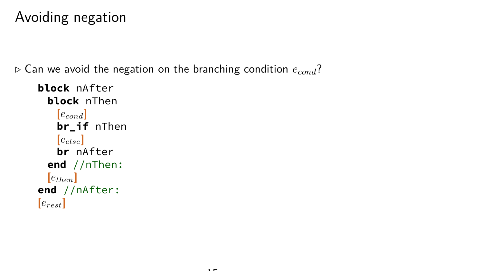### Avoiding negation

*.* Can we avoid the negation on the branching condition *econd*?

```
block nAfter
 block nThen
   [econd]
   br_if nThen
   [eelse]
   br nAfter
 end //nThen:
 [e_{then}]end //nAfter:
[erest]
```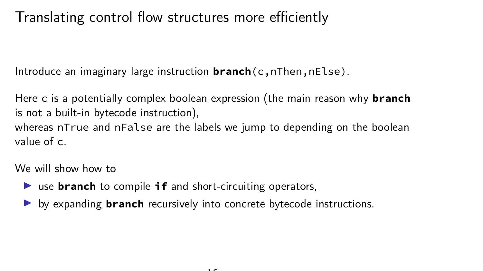# Translating control flow structures more efficiently

Introduce an imaginary large instruction **branch**(c,nThen,nElse).

Here c is a potentially complex boolean expression (the main reason why **branch** is not a built-in bytecode instruction), whereas nTrue and nFalse are the labels we jump to depending on the boolean value of c.

We will show how to

- ▶ use **branch** to compile **if** and short-circuiting operators,
- **If** by expanding **branch** recursively into concrete bytecode instructions.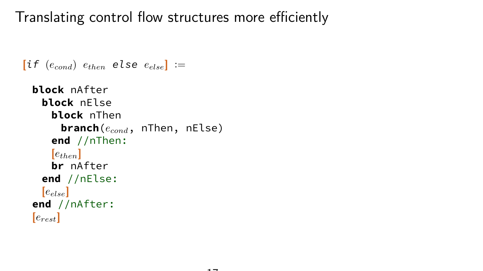Translating control flow structures more efficiently

```
\begin{bmatrix} \text{if } (e_{cond}) \end{bmatrix} e_{then} else e_{else}] :=
```

```
block nAfter
 block nElse
   block nThen
    branch(econd, nThen, nElse)
   end //nThen:
   [e_{then}]br nAfter
 end //nElse:
 [eelse]
end //nAfter:
[erest]
```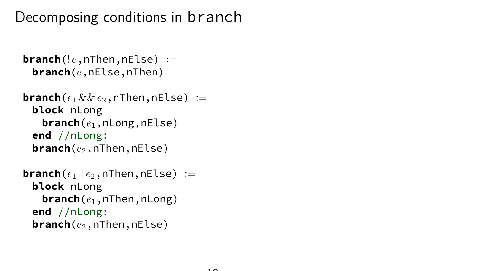Decomposing conditions in branch

```
\mathsf{branch}(!e, n\mathsf{Then}, n\mathsf{Else}) :=branch(e,nElse,nThen)
```

```
branch(e_1 \&\& e_2,nThen,nElse) :=
 block nLong
   branch(e1,nLong,nElse)
 end //nLong:
 branch(e2,nThen,nElse)
```

```
branch(e_1 \parallel e_2, nThen, nElse) :=
 block nLong
   branch(e1,nThen,nLong)
 end //nLong:
 branch(e2,nThen,nElse)
```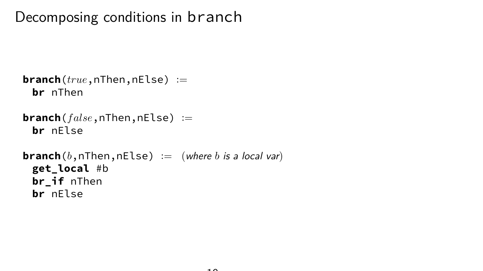# Decomposing conditions in branch

```
branch(true,nThen,nElse) :=
 br nThen
```

```
branch(f alse,nThen,nElse) :=
 br nElse
```

```
branch(b,nThen,nElse) := (where b is a local var)
 get_local #b
 br_if nThen
 br nElse
```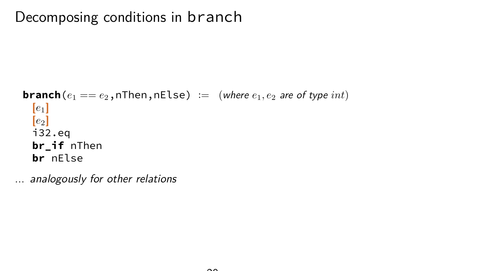# Decomposing conditions in branch

```
branch(e_1 == e_2, nThen, nElse) := (where e_1, e_2 are of type int)
 [e_1][e2]
 i32.eq
 br_if nThen
 br nElse
```
... analogously for other relations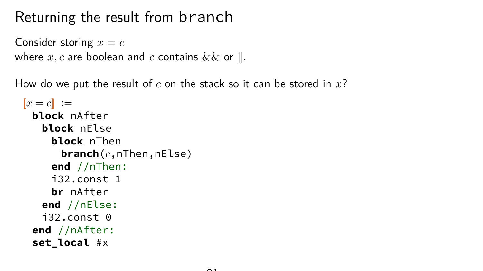# Returning the result from branch

```
Consider storing x = cwhere x, c are boolean and c contains \&& or \parallel.
```
How do we put the result of *c* on the stack so it can be stored in *x*?

```
[x = c] :=block nAfter
  block nElse
    block nThen
      branch(c,nThen,nElse)
    end //nThen:
    i32.const 1
    br nAfter
   end //nElse:
   i32.const 0
 end //nAfter:
 set_local #x
```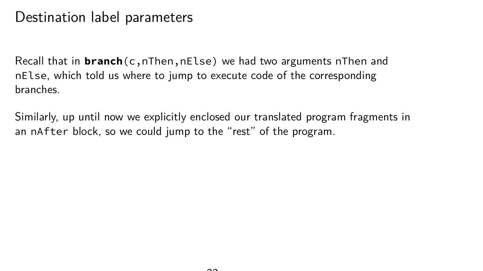#### Destination label parameters

Recall that in **branch**(c,nThen,nElse) we had two arguments nThen and nElse, which told us where to jump to execute code of the corresponding branches.

Similarly, up until now we explicitly enclosed our translated program fragments in an nAfter block, so we could jump to the "rest" of the program.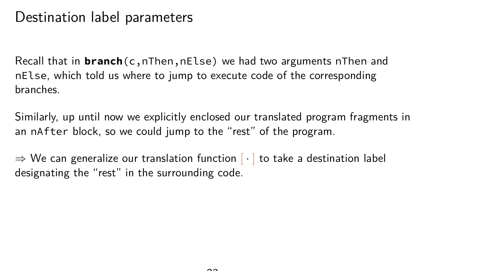#### Destination label parameters

Recall that in **branch**(c,nThen,nElse) we had two arguments nThen and nElse, which told us where to jump to execute code of the corresponding branches.

Similarly, up until now we explicitly enclosed our translated program fragments in an nAfter block, so we could jump to the "rest" of the program.

 $\Rightarrow$  We can generalize our translation function  $\lceil \cdot \rceil$  to take a destination label designating the "rest" in the surrounding code.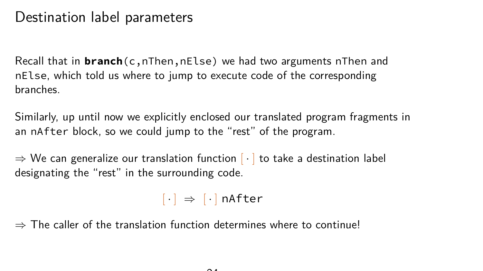#### Destination label parameters

Recall that in **branch**(c,nThen,nElse) we had two arguments nThen and nElse, which told us where to jump to execute code of the corresponding branches.

Similarly, up until now we explicitly enclosed our translated program fragments in an nAfter block, so we could jump to the "rest" of the program.

 $\Rightarrow$  We can generalize our translation function  $\lceil \cdot \rceil$  to take a destination label designating the "rest" in the surrounding code.

 $\lceil \cdot \rceil \Rightarrow \lceil \cdot \rceil$  nAfter

 $\Rightarrow$  The caller of the translation function determines where to continue!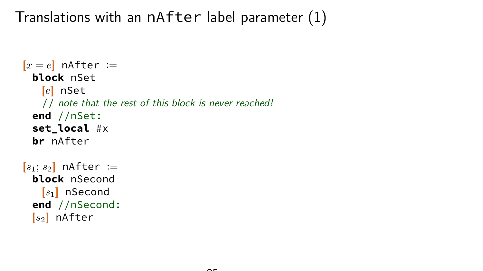Translations with an nAfter label parameter (1)

```
[x = e] nAfter :=
 block nSet
   [e] nSet
   // note that the rest of this block is never reached!
 end //nSet:
 set_local #x
 br nAfter
[s_1; s_2] nAfter :=
 block nSecond
   [s1] nSecond
 end //nSecond:
 [s2] nAfter
```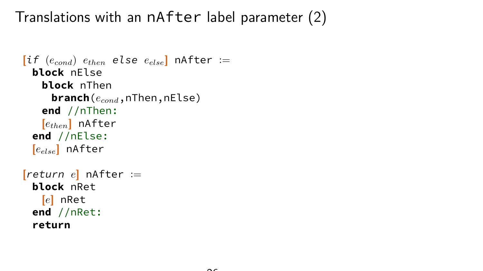Translations with an nAfter label parameter (2)

```
\begin{bmatrix} \text{if } (e_{cond}) \ e_{then} \text{else } else \end{bmatrix} nAfter :=
  block nElse
    block nThen
      branch(econd,nThen,nElse)
    end //nThen:
    [ethen] nAfter
  end //nElse:
  [eelse] nAfter
[return e] nAfter :=
  block nRet
    [e] nRet
  end //nRet:
  return
```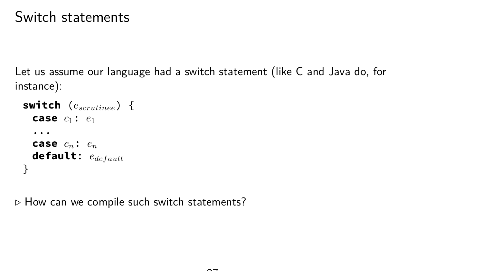#### Switch statements

Let us assume our language had a switch statement (like C and Java do, for instance):

```
switch (escrutinee) {
 case c1: e1
  ...
 case cn: en
 default: edefault
}
```
*.* How can we compile such switch statements?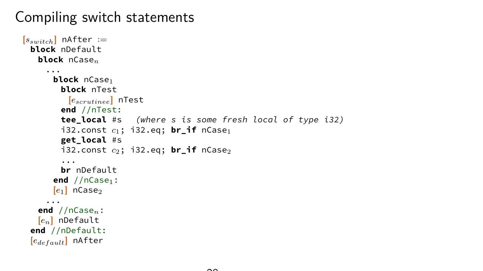# Compiling switch statements

```
[s_{switch}] nAfter :=block nDefault
   block nCasen
     ...
       block nCase<sub>1</sub>
         block nTest
          [escrutinee] nTest
         end //nTest:
         tee_local #s (where s is some fresh local of type i32)
         i32.const c_1; i32.eq; br_if nCase<sub>1</sub>
         get_local #s
         i32.const c_2; i32.eq; br if nCase<sub>2</sub>
         ...
        br nDefault
       end //nCase<sub>1</sub>:[e_1] nCase<sub>2</sub>
     ...
   end //nCasen:
   [en] nDefault
 end //nDefault:
 [edefault] nAfter
```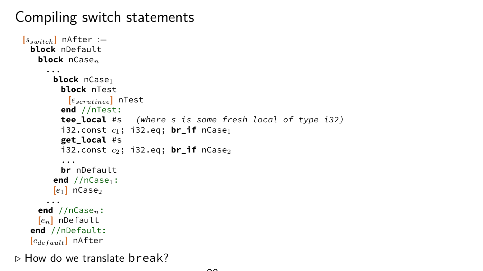# Compiling switch statements

```
[s_{switch}] nAfter :=block nDefault
   block nCasen
     ...
       block nCase<sub>1</sub>
         block nTest
          [escrutinee] nTest
         end //nTest:
         tee local #s (where s is some fresh local of type i32)
         i32.const c_1; i32.eq; br_if nCase<sub>1</sub>
         get_local #s
         i32.const c_2; i32.eq; br if nCase<sub>2</sub>
         ...
         br nDefault
       end //nCase<sub>1</sub>:[e_1] nCase<sub>2</sub>
     ...
   end //nCasen:
   [en] nDefault
 end //nDefault:
 [edefault] nAfter
```
*.* How do we translate break?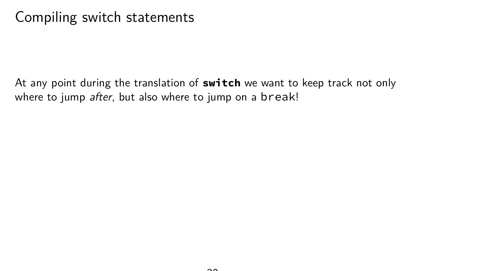At any point during the translation of **switch** we want to keep track not only where to jump after, but also where to jump on a break!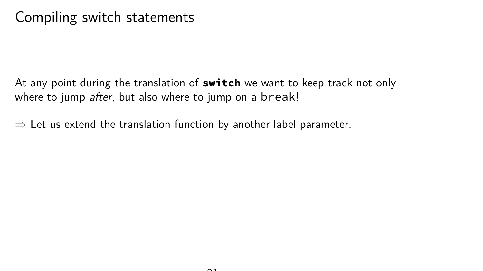At any point during the translation of **switch** we want to keep track not only where to jump *after*, but also where to jump on a break!

 $\Rightarrow$  Let us extend the translation function by another label parameter.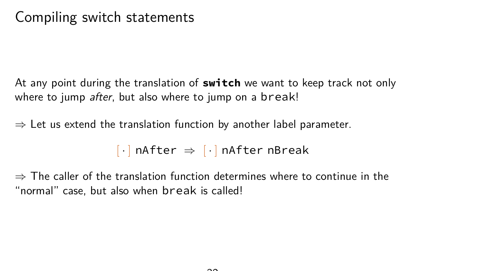At any point during the translation of **switch** we want to keep track not only where to jump *after*, but also where to jump on a break!

 $\Rightarrow$  Let us extend the translation function by another label parameter.

 $\lceil \cdot \rceil$  nAfter  $\Rightarrow \lceil \cdot \rceil$  nAfter nBreak

 $\Rightarrow$  The caller of the translation function determines where to continue in the "normal" case, but also when break is called!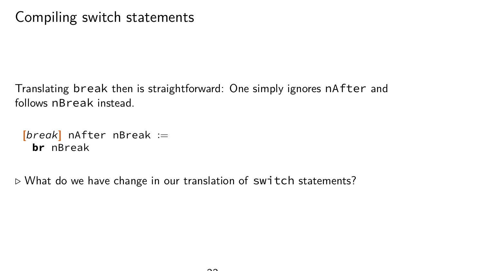Translating break then is straightforward: One simply ignores nAfter and follows nBreak instead.

```
[break] nAfter nBreak :=
 br nBreak
```
*.* What do we have change in our translation of switch statements?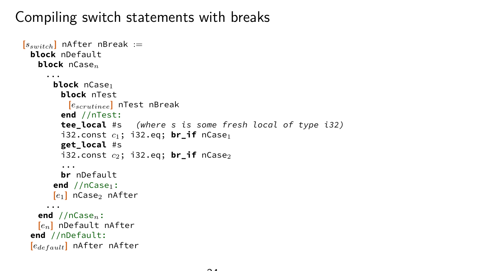# Compiling switch statements with breaks

```
[s<sub>switch</sub>] nAfter nBreak :=
 block nDefault
   block nCasen
     ...
      block nCase1
        block nTest
          [escrutinee] nTest nBreak
        end //nTest:
        tee_local #s (where s is some fresh local of type i32)
        i32.const c_1; i32.eq; br if nCase<sub>1</sub>
        get_local #s
        i32.const c2; i32.eq; br_if nCase2
        ...
        br nDefault
      end //nCase<sub>1</sub>:[e1] nCase2 nAfter
     ...
   end //nCasen:
   [en] nDefault nAfter
 end //nDefault:
 [edefault] nAfter nAfter
```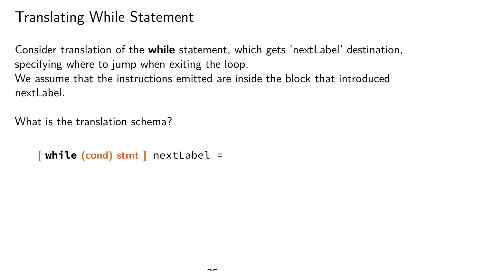# Translating While Statement

Consider translation of the **while** statement, which gets 'nextLabel' destination, specifying where to jump when exiting the loop. We assume that the instructions emitted are inside the block that introduced nextLabel.

What is the translation schema?

```
[ while (cond) stmt ] nextLabel =
```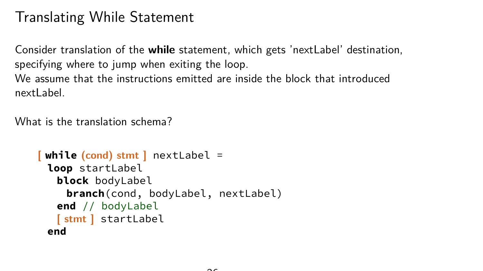# Translating While Statement

Consider translation of the **while** statement, which gets 'nextLabel' destination, specifying where to jump when exiting the loop. We assume that the instructions emitted are inside the block that introduced nextLabel.

What is the translation schema?

```
[ while (cond) stmt ] nextLabel =
 loop startLabel
  block bodyLabel
    branch(cond, bodyLabel, nextLabel)
  end // bodyLabel
  [ stmt ] startLabel
 end
```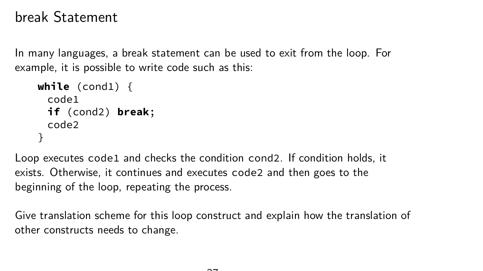#### break Statement

In many languages, a break statement can be used to exit from the loop. For example, it is possible to write code such as this:

```
while (cond1) {
 code1
 if (cond2) break;
 code2
}
```
Loop executes code1 and checks the condition cond2. If condition holds, it exists. Otherwise, it continues and executes code2 and then goes to the beginning of the loop, repeating the process.

Give translation scheme for this loop construct and explain how the translation of other constructs needs to change.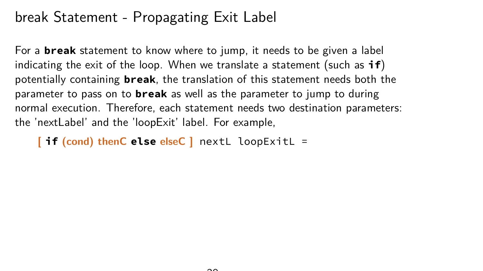### break Statement - Propagating Exit Label

For a **break** statement to know where to jump, it needs to be given a label indicating the exit of the loop. When we translate a statement (such as **if**) potentially containing **break**, the translation of this statement needs both the parameter to pass on to **break** as well as the parameter to jump to during normal execution. Therefore, each statement needs two destination parameters: the 'nextLabel' and the 'loopExit' label. For example,

**[ if (cond) thenC else elseC ]** nextL loopExitL =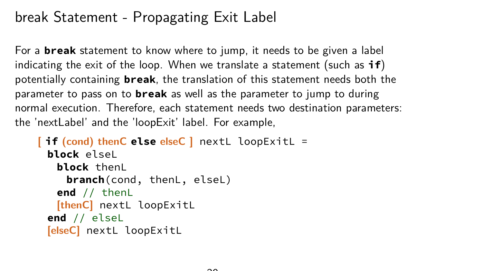### break Statement - Propagating Exit Label

For a **break** statement to know where to jump, it needs to be given a label indicating the exit of the loop. When we translate a statement (such as **if**) potentially containing **break**, the translation of this statement needs both the parameter to pass on to **break** as well as the parameter to jump to during normal execution. Therefore, each statement needs two destination parameters: the 'nextLabel' and the 'loopExit' label. For example,

```
[ if (cond) thenC else elseC ] nextL loopExitL =
 block elseL
   block thenL
    branch(cond, thenL, elseL)
   end // thenL
   [thenC] nextL loopExitL
 end // elseL
 [elseC] nextL loopExitL
```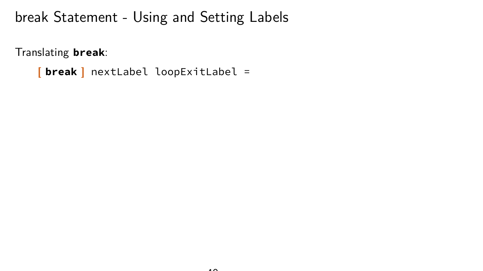Translating **break**:

```
[ break ] nextLabel loopExitLabel =
```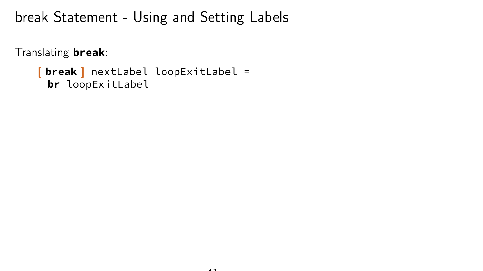Translating **break**:

**[ break ]** nextLabel loopExitLabel = **br** loopExitLabel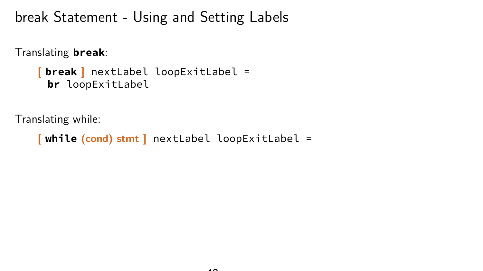Translating **break**:

```
[ break ] nextLabel loopExitLabel =
 br loopExitLabel
```
Translating while:

**[ while (cond) stmt ]** nextLabel loopExitLabel =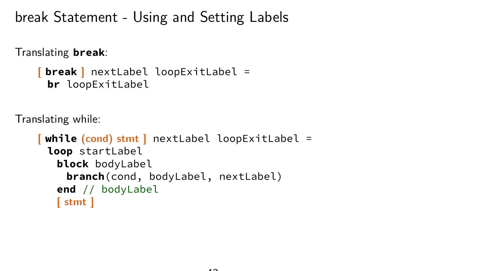Translating **break**:

```
[ break ] nextLabel loopExitLabel =
 br loopExitLabel
```
Translating while:

```
[ while (cond) stmt ] nextLabel loopExitLabel =
 loop startLabel
  block bodyLabel
    branch(cond, bodyLabel, nextLabel)
   end // bodyLabel
   [ stmt ]
```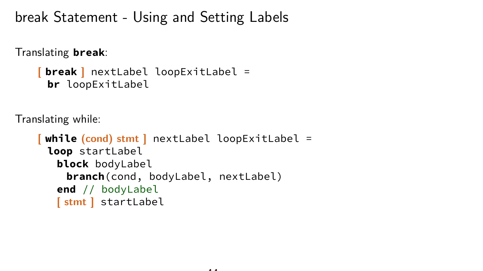Translating **break**:

```
[ break ] nextLabel loopExitLabel =
 br loopExitLabel
```
Translating while:

```
[ while (cond) stmt ] nextLabel loopExitLabel =
 loop startLabel
  block bodyLabel
    branch(cond, bodyLabel, nextLabel)
   end // bodyLabel
   [ stmt ] startLabel
```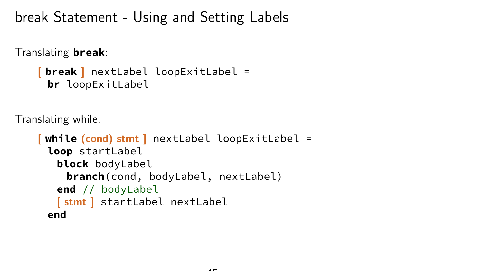Translating **break**:

```
[ break ] nextLabel loopExitLabel =
 br loopExitLabel
```
Translating while:

```
[ while (cond) stmt ] nextLabel loopExitLabel =
 loop startLabel
  block bodyLabel
    branch(cond, bodyLabel, nextLabel)
   end // bodyLabel
   [ stmt ] startLabel nextLabel
 end
```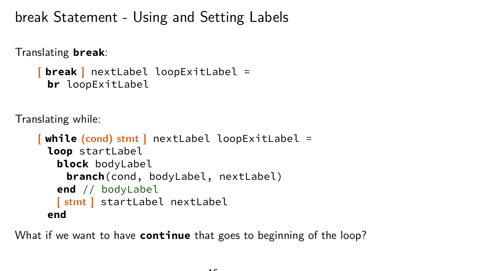Translating **break**:

```
[ break ] nextLabel loopExitLabel =
 br loopExitLabel
```
Translating while:

```
[ while (cond) stmt ] nextLabel loopExitLabel =
 loop startLabel
   block bodyLabel
    branch(cond, bodyLabel, nextLabel)
   end // bodyLabel
   [ stmt ] startLabel nextLabel
 end
```
What if we want to have **continue** that goes to beginning of the loop?